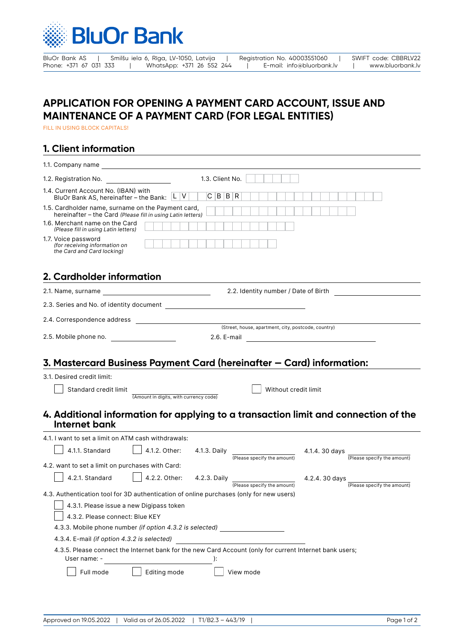

BluOr Bank AS | Smilšu iela 6, Rīga, LV-1050, Latvija | Registration No. 40003551060 | SWIFT code: CBBRLV22<br>Phone: +371 67 031 333 | WhatsApp: +371 26 552 244 | E-mail: info@bluorbank.lv | www.bluorbank.lv Phone: +371 26 552 244 | E-mail: info@bluorbank.lv | www.bluorbank.lv

# **APPLICATION FOR OPENING A PAYMENT CARD ACCOUNT, ISSUE AND MAINTENANCE OF A PAYMENT CARD (FOR LEGAL ENTITIES)**

FILL IN USING BLOCK CAPITALS!

### **1. Client information**

| 1.3. Client No.<br>1.2. Registration No.                                                                                        |  |  |  |  |  |  |  |
|---------------------------------------------------------------------------------------------------------------------------------|--|--|--|--|--|--|--|
| 1.4. Current Account No. (IBAN) with<br>C B B R<br>BluOr Bank AS, hereinafter - the Bank: L V                                   |  |  |  |  |  |  |  |
| 1.5. Cardholder name, surname on the Payment card,<br>hereinafter - the Card (Please fill in using Latin letters)               |  |  |  |  |  |  |  |
| 1.6. Merchant name on the Card<br>(Please fill in using Latin letters)                                                          |  |  |  |  |  |  |  |
| 1.7. Voice password<br>(for receiving information on<br>the Card and Card locking)                                              |  |  |  |  |  |  |  |
| 2. Cardholder information                                                                                                       |  |  |  |  |  |  |  |
| 2.2. Identity number / Date of Birth                                                                                            |  |  |  |  |  |  |  |
| 2.3. Series and No. of identity document contract to the contract of the contract of the contract of the control of             |  |  |  |  |  |  |  |
| 2.4. Correspondence address                                                                                                     |  |  |  |  |  |  |  |
| (Street, house, apartment, city, postcode, country)<br>2.5. Mobile phone no.                                                    |  |  |  |  |  |  |  |
|                                                                                                                                 |  |  |  |  |  |  |  |
| 3. Mastercard Business Payment Card (hereinafter – Card) information:                                                           |  |  |  |  |  |  |  |
| 3.1. Desired credit limit:                                                                                                      |  |  |  |  |  |  |  |
| Without credit limit<br>Standard credit limit                                                                                   |  |  |  |  |  |  |  |
| (Amount in digits, with currency code)                                                                                          |  |  |  |  |  |  |  |
| 4. Additional information for applying to a transaction limit and connection of the<br>Internet bank                            |  |  |  |  |  |  |  |
| 4.1. I want to set a limit on ATM cash withdrawals:                                                                             |  |  |  |  |  |  |  |
| 4.1.1. Standard<br>4.1.2. Other:<br>4.1.3. Daily<br>4.1.4.30 days<br>(Please specify the amount)<br>(Please specify the amount) |  |  |  |  |  |  |  |
| 4.2. want to set a limit on purchases with Card:                                                                                |  |  |  |  |  |  |  |
| 4.2.2. Other:<br>4.2.1. Standard<br>4.2.3. Daily<br>4.2.4.30 days<br>(Please specify the amount)<br>(Please specify the amount) |  |  |  |  |  |  |  |
| 4.3. Authentication tool for 3D authentication of online purchases (only for new users)                                         |  |  |  |  |  |  |  |
| 4.3.1. Please issue a new Digipass token                                                                                        |  |  |  |  |  |  |  |
| 4.3.2. Please connect: Blue KEY                                                                                                 |  |  |  |  |  |  |  |
| 4.3.3. Mobile phone number (if option 4.3.2 is selected)                                                                        |  |  |  |  |  |  |  |
| 4.3.4. E-mail (if option 4.3.2 is selected)                                                                                     |  |  |  |  |  |  |  |
| 4.3.5. Please connect the Internet bank for the new Card Account (only for current Internet bank users;<br>User name: -<br>):   |  |  |  |  |  |  |  |
| View mode                                                                                                                       |  |  |  |  |  |  |  |
| Full mode<br>Editing mode                                                                                                       |  |  |  |  |  |  |  |